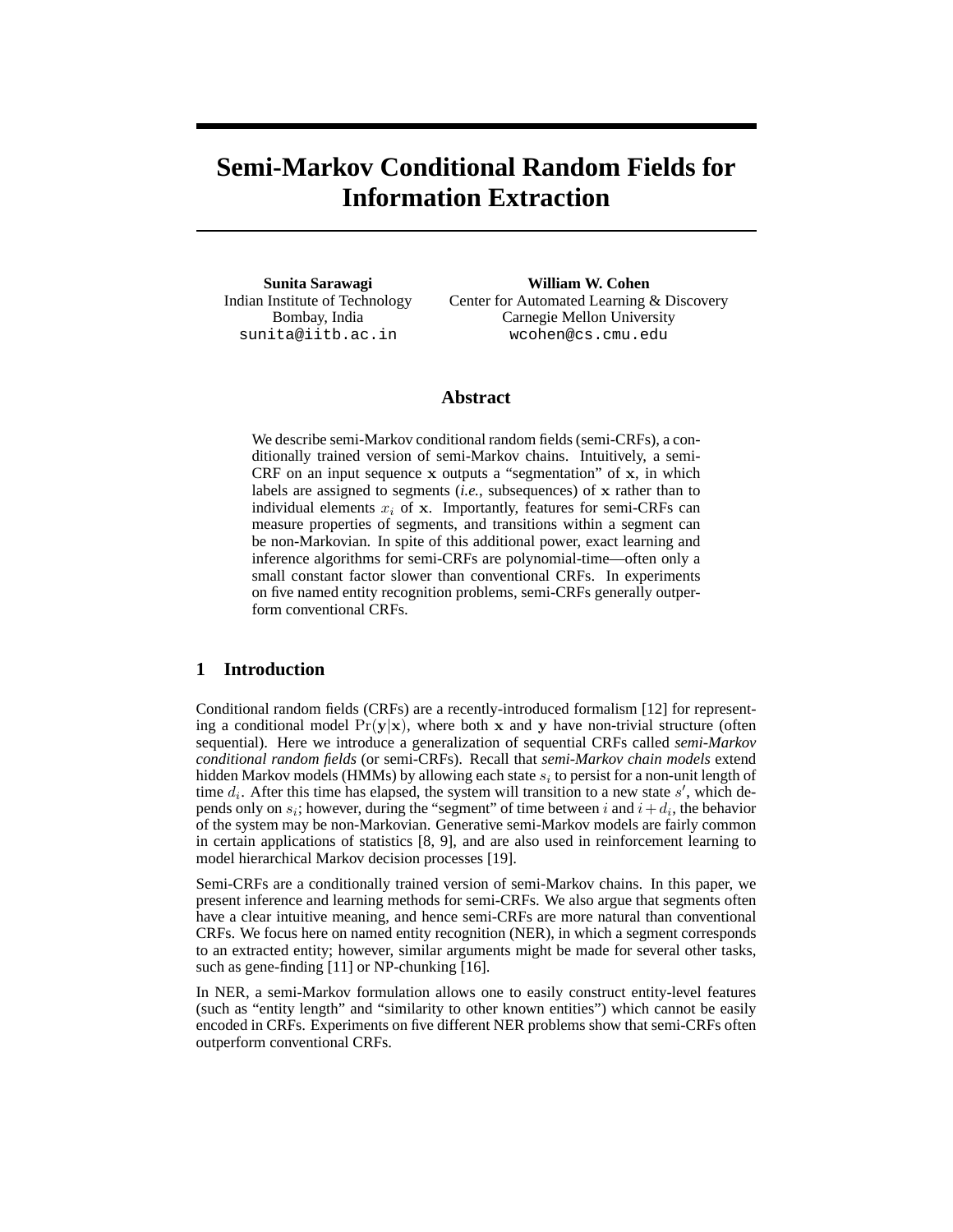# **Semi-Markov Conditional Random Fields for Information Extraction**

**Sunita Sarawagi** Indian Institute of Technology Bombay, India sunita@iitb.ac.in

**William W. Cohen** Center for Automated Learning & Discovery Carnegie Mellon University wcohen@cs.cmu.edu

### **Abstract**

We describe semi-Markov conditional random fields (semi-CRFs), a conditionally trained version of semi-Markov chains. Intuitively, a semi-CRF on an input sequence  $x$  outputs a "segmentation" of  $x$ , in which labels are assigned to segments *(i.e.*, subsequences) of x rather than to individual elements  $x_i$  of x. Importantly, features for semi-CRFs can measure properties of segments, and transitions within a segment can be non-Markovian. In spite of this additional power, exact learning and inference algorithms for semi-CRFs are polynomial-time—often only a small constant factor slower than conventional CRFs. In experiments on five named entity recognition problems, semi-CRFs generally outperform conventional CRFs.

# **1 Introduction**

Conditional random fields (CRFs) are a recently-introduced formalism [12] for representing a conditional model  $Pr(y|x)$ , where both x and y have non-trivial structure (often sequential). Here we introduce a generalization of sequential CRFs called *semi-Markov conditional random fields* (or semi-CRFs). Recall that *semi-Markov chain models* extend hidden Markov models (HMMs) by allowing each state  $s_i$  to persist for a non-unit length of time  $d_i$ . After this time has elapsed, the system will transition to a new state  $s'$ , which depends only on  $s_i$ ; however, during the "segment" of time between i and  $i + d_i$ , the behavior of the system may be non-Markovian. Generative semi-Markov models are fairly common in certain applications of statistics [8, 9], and are also used in reinforcement learning to model hierarchical Markov decision processes [19].

Semi-CRFs are a conditionally trained version of semi-Markov chains. In this paper, we present inference and learning methods for semi-CRFs. We also argue that segments often have a clear intuitive meaning, and hence semi-CRFs are more natural than conventional CRFs. We focus here on named entity recognition (NER), in which a segment corresponds to an extracted entity; however, similar arguments might be made for several other tasks, such as gene-finding [11] or NP-chunking [16].

In NER, a semi-Markov formulation allows one to easily construct entity-level features (such as "entity length" and "similarity to other known entities") which cannot be easily encoded in CRFs. Experiments on five different NER problems show that semi-CRFs often outperform conventional CRFs.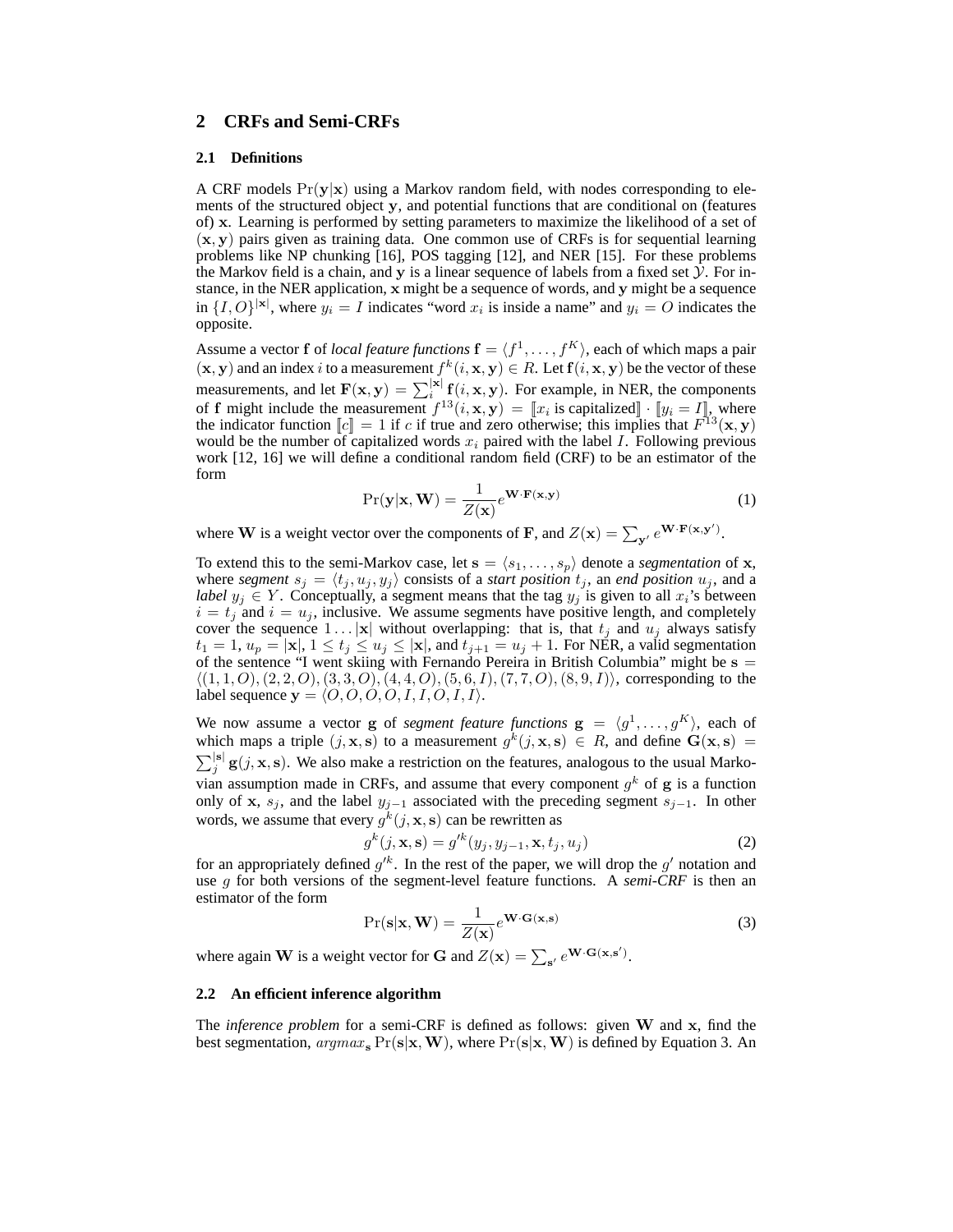## **2 CRFs and Semi-CRFs**

### **2.1 Definitions**

A CRF models  $Pr(y|x)$  using a Markov random field, with nodes corresponding to elements of the structured object y, and potential functions that are conditional on (features of) x. Learning is performed by setting parameters to maximize the likelihood of a set of  $(x, y)$  pairs given as training data. One common use of CRFs is for sequential learning problems like NP chunking [16], POS tagging [12], and NER [15]. For these problems the Markov field is a chain, and y is a linear sequence of labels from a fixed set  $\tilde{y}$ . For instance, in the NER application, x might be a sequence of words, and y might be a sequence in  $\{I, O\}^{|x|}$ , where  $y_i = I$  indicates "word  $x_i$  is inside a name" and  $y_i = O$  indicates the opposite.

Assume a vector **f** of *local feature functions*  $\mathbf{f} = \langle f^1, \dots, f^K \rangle$ , each of which maps a pair  $(x, y)$  and an index i to a measurement  $f^k(i, x, y) \in R$ . Let  $f(i, x, y)$  be the vector of these measurements, and let  $F(x, y) = \sum_{i=1}^{|x|} f(i, x, y)$ . For example, in NER, the components of f might include the measurement  $f^{13}(i, \mathbf{x}, \mathbf{y}) = [x_i \text{ is capitalized}] \cdot [y_i = I]$ , where the indicator function  $\llbracket c \rrbracket = 1$  if c if true and zero otherwise; this implies that  $F^{13}(\mathbf{x}, \mathbf{y})$ would be the number of capitalized words  $x_i$  paired with the label I. Following previous work [12, 16] we will define a conditional random field (CRF) to be an estimator of the form

$$
Pr(\mathbf{y}|\mathbf{x}, \mathbf{W}) = \frac{1}{Z(\mathbf{x})} e^{\mathbf{W} \cdot \mathbf{F}(\mathbf{x}, \mathbf{y})}
$$
(1)

where **W** is a weight vector over the components of **F**, and  $Z(\mathbf{x}) = \sum_{\mathbf{y}'} e^{\mathbf{W} \cdot \mathbf{F}(\mathbf{x}, \mathbf{y}')}$ .

To extend this to the semi-Markov case, let  $s = \langle s_1, \ldots, s_p \rangle$  denote a *segmentation* of **x**, where *segment*  $s_j = \langle t_j , u_j , y_j \rangle$  consists of a *start position*  $t_j$ , an *end position*  $u_j$ , and a *label*  $y_j \in Y$ . Conceptually, a segment means that the tag  $y_j$  is given to all  $x_i$ 's between  $i = t_j$  and  $i = u_j$ , inclusive. We assume segments have positive length, and completely cover the sequence  $1 \dots |\mathbf{x}|$  without overlapping: that is, that  $t_i$  and  $u_i$  always satisfy  $t_1 = 1, u_p = |\mathbf{x}|, 1 \le t_j \le u_j \le |\mathbf{x}|,$  and  $t_{j+1} = u_j + 1$ . For NER, a valid segmentation of the sentence "I went skiing with Fernando Pereira in British Columbia" might be  $s =$  $\langle (1, 1, O), (2, 2, O), (3, 3, O), (4, 4, O), (5, 6, I), (7, 7, O), (8, 9, I) \rangle$ , corresponding to the label sequence  $y = \langle O, O, O, O, I, I, O, I, I \rangle$ .

We now assume a vector **g** of *segment feature functions*  $\mathbf{g} = \langle g^1, \dots, g^K \rangle$ , each of which maps a triple  $(j, \mathbf{x}, \mathbf{s})$  to a measurement  $g^k(j, \mathbf{x}, \mathbf{s}) \in R$ , and define  $\mathbf{G}(\mathbf{x}, \mathbf{s}) =$  $\sum_{j}^{|\mathbf{s}|} \mathbf{g}(j, \mathbf{x}, \mathbf{s})$ . We also make a restriction on the features, analogous to the usual Markovian assumption made in CRFs, and assume that every component  $g^k$  of  $g$  is a function only of x,  $s_j$ , and the label  $y_{j-1}$  associated with the preceding segment  $s_{j-1}$ . In other words, we assume that every  $g^k(j, \mathbf{x}, \mathbf{s})$  can be rewritten as

$$
g^{k}(j, \mathbf{x}, \mathbf{s}) = g'^{k}(y_j, y_{j-1}, \mathbf{x}, t_j, u_j)
$$
\n(2)

for an appropriately defined  $g'^k$ . In the rest of the paper, we will drop the  $g'$  notation and use g for both versions of the segment-level feature functions. A *semi-CRF* is then an estimator of the form

$$
Pr(s|\mathbf{x}, \mathbf{W}) = \frac{1}{Z(\mathbf{x})} e^{\mathbf{W} \cdot \mathbf{G}(\mathbf{x}, \mathbf{s})}
$$
(3)

where again **W** is a weight vector for **G** and  $Z(\mathbf{x}) = \sum_{s'} e^{\mathbf{W} \cdot \mathbf{G}(\mathbf{x}, s')}$ .

### **2.2 An efficient inference algorithm**

The *inference problem* for a semi-CRF is defined as follows: given W and x, find the best segmentation,  $argmax_{s} Pr(s|x, W)$ , where  $Pr(s|x, W)$  is defined by Equation 3. An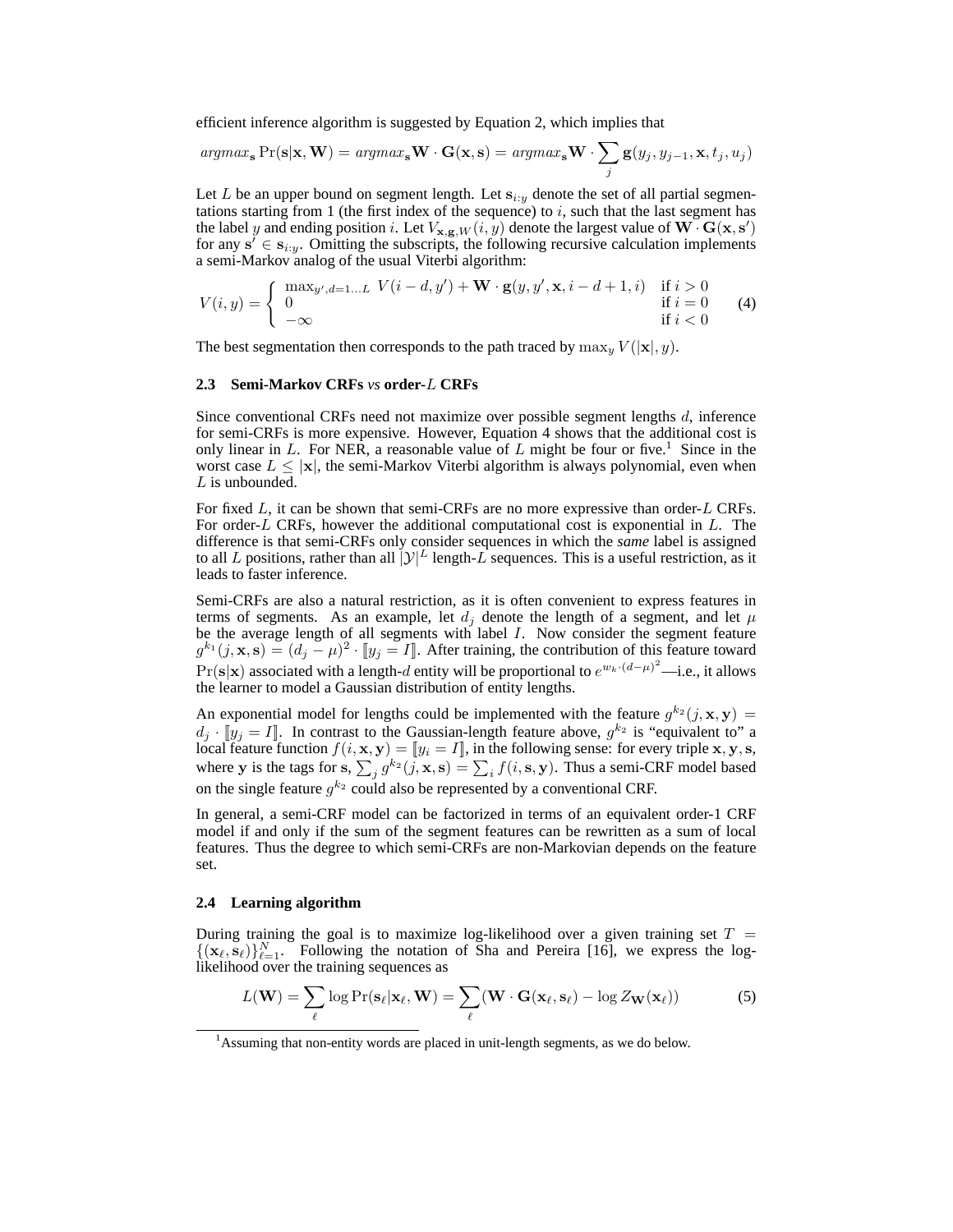efficient inference algorithm is suggested by Equation 2, which implies that

$$
argmax_{\mathbf{s}} \Pr(\mathbf{s}|\mathbf{x}, \mathbf{W}) = argmax_{\mathbf{s}} \mathbf{W} \cdot \mathbf{G}(\mathbf{x}, \mathbf{s}) = argmax_{\mathbf{s}} \mathbf{W} \cdot \sum_{j} \mathbf{g}(y_j, y_{j-1}, \mathbf{x}, t_j, u_j)
$$

Let L be an upper bound on segment length. Let  $s_{i:y}$  denote the set of all partial segmentations starting from 1 (the first index of the sequence) to  $i$ , such that the last segment has the label y and ending position i. Let  $V_{\mathbf{x},\mathbf{g},W}(i,y)$  denote the largest value of  $\mathbf{W} \cdot \mathbf{G}(\mathbf{x},\mathbf{s}')$ for any  $s' \in s_{i:y}$ . Omitting the subscripts, the following recursive calculation implements a semi-Markov analog of the usual Viterbi algorithm:

$$
V(i,y) = \begin{cases} \max_{y',d=1...L} V(i-d,y') + \mathbf{W} \cdot \mathbf{g}(y,y',\mathbf{x}, i-d+1,i) & \text{if } i > 0\\ 0 & \text{if } i = 0\\ -\infty & \text{if } i < 0 \end{cases}
$$
(4)

The best segmentation then corresponds to the path traced by  $\max_{u} V(|\mathbf{x}|, y)$ .

### **2.3 Semi-Markov CRFs** *vs* **order-**L **CRFs**

Since conventional CRFs need not maximize over possible segment lengths d, inference for semi-CRFs is more expensive. However, Equation 4 shows that the additional cost is only linear in  $L$ . For NER, a reasonable value of  $L$  might be four or five.<sup>1</sup> Since in the worst case  $L \leq |\mathbf{x}|$ , the semi-Markov Viterbi algorithm is always polynomial, even when L is unbounded.

For fixed  $L$ , it can be shown that semi-CRFs are no more expressive than order- $L$  CRFs. For order-L CRFs, however the additional computational cost is exponential in  $L$ . The difference is that semi-CRFs only consider sequences in which the *same* label is assigned to all L positions, rather than all  $[\mathcal{Y}]^{L}$  length-L sequences. This is a useful restriction, as it leads to faster inference.

Semi-CRFs are also a natural restriction, as it is often convenient to express features in terms of segments. As an example, let  $d_i$  denote the length of a segment, and let  $\mu$ be the average length of all segments with label I. Now consider the segment feature  $g^{k_1}(j,\mathbf{x},\mathbf{s}) = (d_j - \mu)^2 \cdot [y_j = I]$ . After training, the contribution of this feature toward  $Pr(s|x)$  associated with a length-d entity will be proportional to  $e^{w_k \cdot (d-\mu)^2}$ —i.e., it allows the learner to model a Gaussian distribution of entity lengths.

An exponential model for lengths could be implemented with the feature  $g^{k_2}(j, \mathbf{x}, \mathbf{y}) =$  $d_j \cdot [y_j = I]$ . In contrast to the Gaussian-length feature above,  $g^{k_2}$  is "equivalent to" a local feature function  $f(i, \mathbf{x}, \mathbf{y}) = [\![y_i = I]\!]$ , in the following sense: for every triple  $\mathbf{x}, \mathbf{y}, \mathbf{s},$ where y is the tags for s,  $\sum_j g^{k_2}(j, \mathbf{x}, \mathbf{s}) = \sum_i f(i, \mathbf{s}, \mathbf{y})$ . Thus a semi-CRF model based on the single feature  $g^{k_2}$  could also be represented by a conventional CRF.

In general, a semi-CRF model can be factorized in terms of an equivalent order-1 CRF model if and only if the sum of the segment features can be rewritten as a sum of local features. Thus the degree to which semi-CRFs are non-Markovian depends on the feature set.

#### **2.4 Learning algorithm**

During training the goal is to maximize log-likelihood over a given training set  $T =$  $\{(\mathbf{x}_{\ell}, \mathbf{s}_{\ell})\}_{\ell=1}^N$ . Following the notation of Sha and Pereira [16], we express the loglikelihood over the training sequences as

$$
L(\mathbf{W}) = \sum_{\ell} \log \Pr(\mathbf{s}_{\ell} | \mathbf{x}_{\ell}, \mathbf{W}) = \sum_{\ell} (\mathbf{W} \cdot \mathbf{G}(\mathbf{x}_{\ell}, \mathbf{s}_{\ell}) - \log Z_{\mathbf{W}}(\mathbf{x}_{\ell}))
$$
(5)

<sup>&</sup>lt;sup>1</sup> Assuming that non-entity words are placed in unit-length segments, as we do below.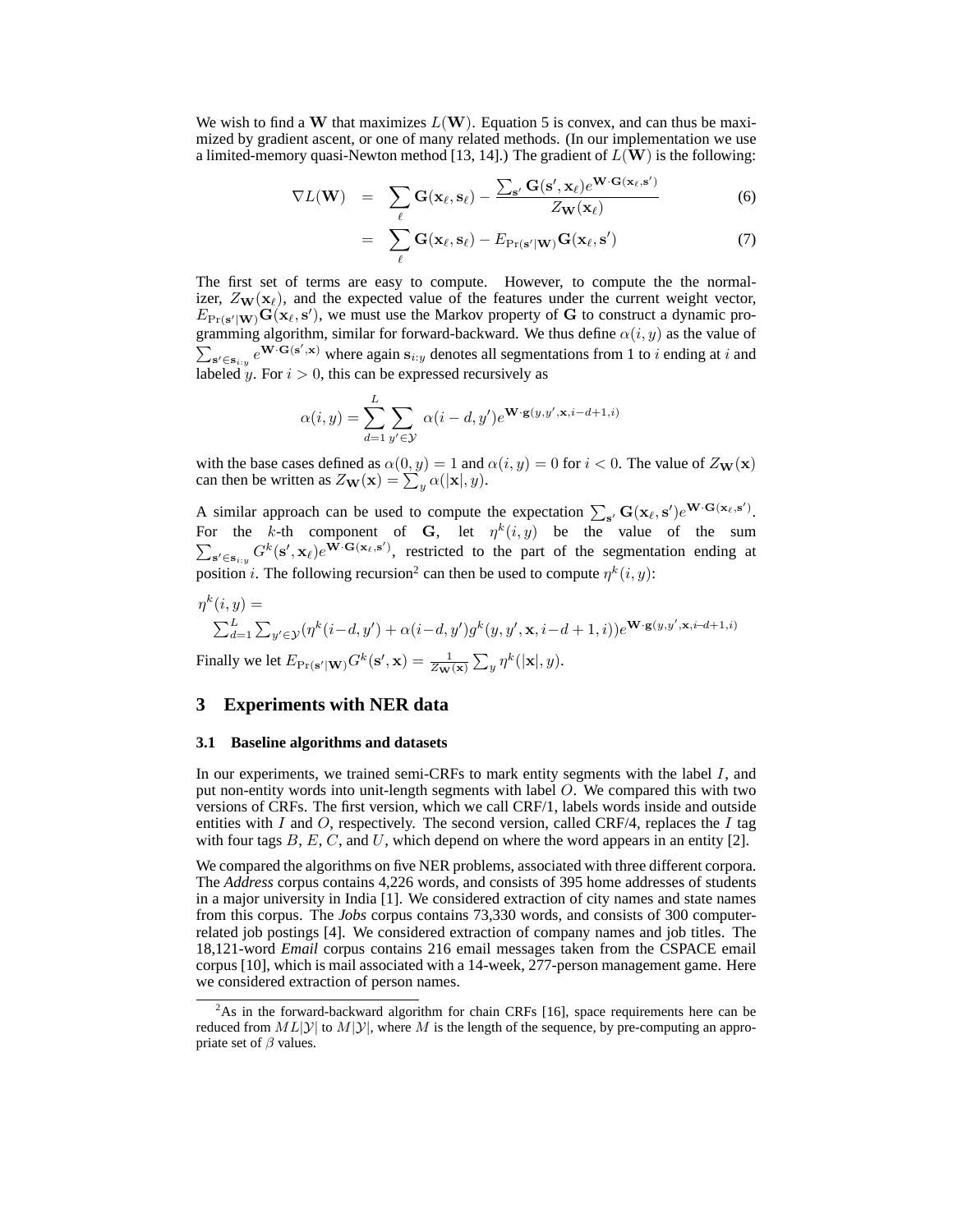We wish to find a W that maximizes  $L(W)$ . Equation 5 is convex, and can thus be maximized by gradient ascent, or one of many related methods. (In our implementation we use a limited-memory quasi-Newton method [13, 14].) The gradient of  $L(\mathbf{W})$  is the following:

$$
\nabla L(\mathbf{W}) = \sum_{\ell} \mathbf{G}(\mathbf{x}_{\ell}, \mathbf{s}_{\ell}) - \frac{\sum_{\mathbf{s}'} \mathbf{G}(\mathbf{s}', \mathbf{x}_{\ell}) e^{\mathbf{W} \cdot \mathbf{G}(\mathbf{x}_{\ell}, \mathbf{s}')}}{Z_{\mathbf{W}}(\mathbf{x}_{\ell})}
$$
(6)

$$
= \sum_{\ell} \mathbf{G}(\mathbf{x}_{\ell}, \mathbf{s}_{\ell}) - E_{\text{Pr}(\mathbf{s}'|\mathbf{W})} \mathbf{G}(\mathbf{x}_{\ell}, \mathbf{s}') \tag{7}
$$

The first set of terms are easy to compute. However, to compute the the normalizer,  $Z_{\mathbf{W}}(\mathbf{x}_{\ell})$ , and the expected value of the features under the current weight vector,  $E_{\text{Pr}(\mathbf{s}'|\mathbf{W})}\mathbf{G}(\mathbf{x}_\ell, \mathbf{s}')$ , we must use the Markov property of G to construct a dynamic programming algorithm, similar for forward-backward. We thus define  $\alpha(i, y)$  as the value of  $\sum_{s' \in s_{i:y}} e^{W \cdot G(s',x)}$  where again  $s_{i:y}$  denotes all segmentations from 1 to i ending at i and labeled  $\hat{y}$ . For  $i > 0$ , this can be expressed recursively as

$$
\alpha(i, y) = \sum_{d=1}^{L} \sum_{y' \in \mathcal{Y}} \alpha(i - d, y') e^{\mathbf{W} \cdot \mathbf{g}(y, y', \mathbf{x}, i - d + 1, i)}
$$

with the base cases defined as  $\alpha(0, y) = 1$  and  $\alpha(i, y) = 0$  for  $i < 0$ . The value of  $Z_{\mathbf{W}}(\mathbf{x})$ can then be written as  $Z_{\mathbf{W}}(\mathbf{x}) = \sum_{y} \alpha(|\mathbf{x}|, y)$ .

A similar approach can be used to compute the expectation  $\sum_{s'} G(x_\ell, s') e^{W \cdot G(x_\ell, s')}$ . For the k-th component of G, let  $\eta^k(i, y)$  be the value of the sum  $\sum_{s' \in s_{i,y}} G^k(s', x_\ell) e^{\vec{W} \cdot G(x_\ell, s')}$ , restricted to the part of the segmentation ending at position *i*. The following recursion<sup>2</sup> can then be used to compute  $\eta^k(i, y)$ :

$$
\begin{aligned} &\eta^k(i,y)=\\ &\textstyle{\sum_{d=1}^L\sum_{y'\in\mathcal{Y}}(\eta^k(i-d,y')+\alpha(i-d,y')g^k(y,y',\mathbf{x},i-d+1,i))e^{\mathbf{W}\cdot\mathbf{g}(y,y',\mathbf{x},i-d+1,i)}}\\ &\text{Finally we let }E_{\Pr(\mathbf{s}'|\mathbf{W})}G^k(\mathbf{s}',\mathbf{x})=\frac{1}{Z_{\mathbf{W}}(\mathbf{x})}\sum_{y}\eta^k(|\mathbf{x}|,y). \end{aligned}
$$

# **3 Experiments with NER data**

# **3.1 Baseline algorithms and datasets**

In our experiments, we trained semi-CRFs to mark entity segments with the label  $I$ , and put non-entity words into unit-length segments with label O. We compared this with two versions of CRFs. The first version, which we call CRF/1, labels words inside and outside entities with I and O, respectively. The second version, called CRF/4, replaces the I tag with four tags  $B, E, C$ , and U, which depend on where the word appears in an entity [2].

We compared the algorithms on five NER problems, associated with three different corpora. The *Address* corpus contains 4,226 words, and consists of 395 home addresses of students in a major university in India [1]. We considered extraction of city names and state names from this corpus. The *Jobs* corpus contains 73,330 words, and consists of 300 computerrelated job postings [4]. We considered extraction of company names and job titles. The 18,121-word *Email* corpus contains 216 email messages taken from the CSPACE email corpus [10], which is mail associated with a 14-week, 277-person management game. Here we considered extraction of person names.

 $2$ As in the forward-backward algorithm for chain CRFs [16], space requirements here can be reduced from  $ML|y|$  to  $M|y|$ , where M is the length of the sequence, by pre-computing an appropriate set of  $\beta$  values.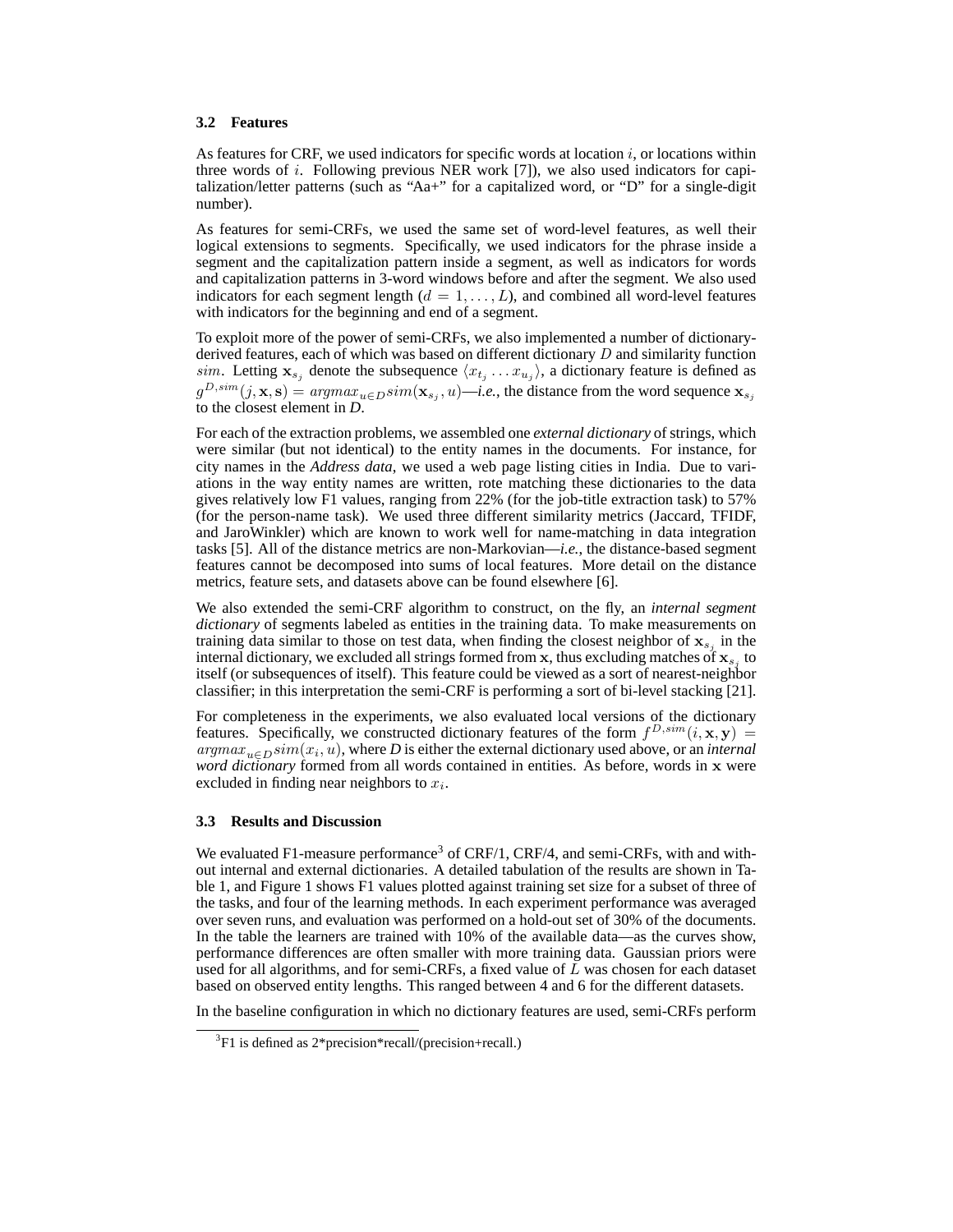### **3.2 Features**

As features for CRF, we used indicators for specific words at location  $i$ , or locations within three words of  $i$ . Following previous NER work  $[7]$ , we also used indicators for capitalization/letter patterns (such as "Aa+" for a capitalized word, or "D" for a single-digit number).

As features for semi-CRFs, we used the same set of word-level features, as well their logical extensions to segments. Specifically, we used indicators for the phrase inside a segment and the capitalization pattern inside a segment, as well as indicators for words and capitalization patterns in 3-word windows before and after the segment. We also used indicators for each segment length  $(d = 1, \ldots, L)$ , and combined all word-level features with indicators for the beginning and end of a segment.

To exploit more of the power of semi-CRFs, we also implemented a number of dictionaryderived features, each of which was based on different dictionary D and similarity function sim. Letting  $\mathbf{x}_{s_j}$  denote the subsequence  $\langle x_{t_j} \dots x_{u_j} \rangle$ , a dictionary feature is defined as  $g^{D,sim}(j, \mathbf{x}, \mathbf{s}) = argmax_{u \in D} sim(\mathbf{x}_{s_j}, u)$ —*i.e.*, the distance from the word sequence  $\mathbf{x}_{s_j}$ to the closest element in *D*.

For each of the extraction problems, we assembled one *external dictionary* of strings, which were similar (but not identical) to the entity names in the documents. For instance, for city names in the *Address data*, we used a web page listing cities in India. Due to variations in the way entity names are written, rote matching these dictionaries to the data gives relatively low F1 values, ranging from 22% (for the job-title extraction task) to 57% (for the person-name task). We used three different similarity metrics (Jaccard, TFIDF, and JaroWinkler) which are known to work well for name-matching in data integration tasks [5]. All of the distance metrics are non-Markovian—*i.e.*, the distance-based segment features cannot be decomposed into sums of local features. More detail on the distance metrics, feature sets, and datasets above can be found elsewhere [6].

We also extended the semi-CRF algorithm to construct, on the fly, an *internal segment dictionary* of segments labeled as entities in the training data. To make measurements on training data similar to those on test data, when finding the closest neighbor of  $x_{s_j}$  in the internal dictionary, we excluded all strings formed from x, thus excluding matches of  $x_{s_j}$  to itself (or subsequences of itself). This feature could be viewed as a sort of nearest-neighbor classifier; in this interpretation the semi-CRF is performing a sort of bi-level stacking [21].

For completeness in the experiments, we also evaluated local versions of the dictionary features. Specifically, we constructed dictionary features of the form  $f^{D,sim}(i, \mathbf{x}, \mathbf{y}) =$  $argmax_{u \in D} sim(x_i, u)$ , where *D* is either the external dictionary used above, or an *internal word dictionary* formed from all words contained in entities. As before, words in x were excluded in finding near neighbors to  $x_i$ .

### **3.3 Results and Discussion**

We evaluated F1-measure performance<sup>3</sup> of CRF/1, CRF/4, and semi-CRFs, with and without internal and external dictionaries. A detailed tabulation of the results are shown in Table 1, and Figure 1 shows F1 values plotted against training set size for a subset of three of the tasks, and four of the learning methods. In each experiment performance was averaged over seven runs, and evaluation was performed on a hold-out set of 30% of the documents. In the table the learners are trained with 10% of the available data—as the curves show, performance differences are often smaller with more training data. Gaussian priors were used for all algorithms, and for semi-CRFs, a fixed value of  $L$  was chosen for each dataset based on observed entity lengths. This ranged between 4 and 6 for the different datasets.

In the baseline configuration in which no dictionary features are used, semi-CRFs perform

<sup>3</sup> F1 is defined as 2\*precision\*recall/(precision+recall.)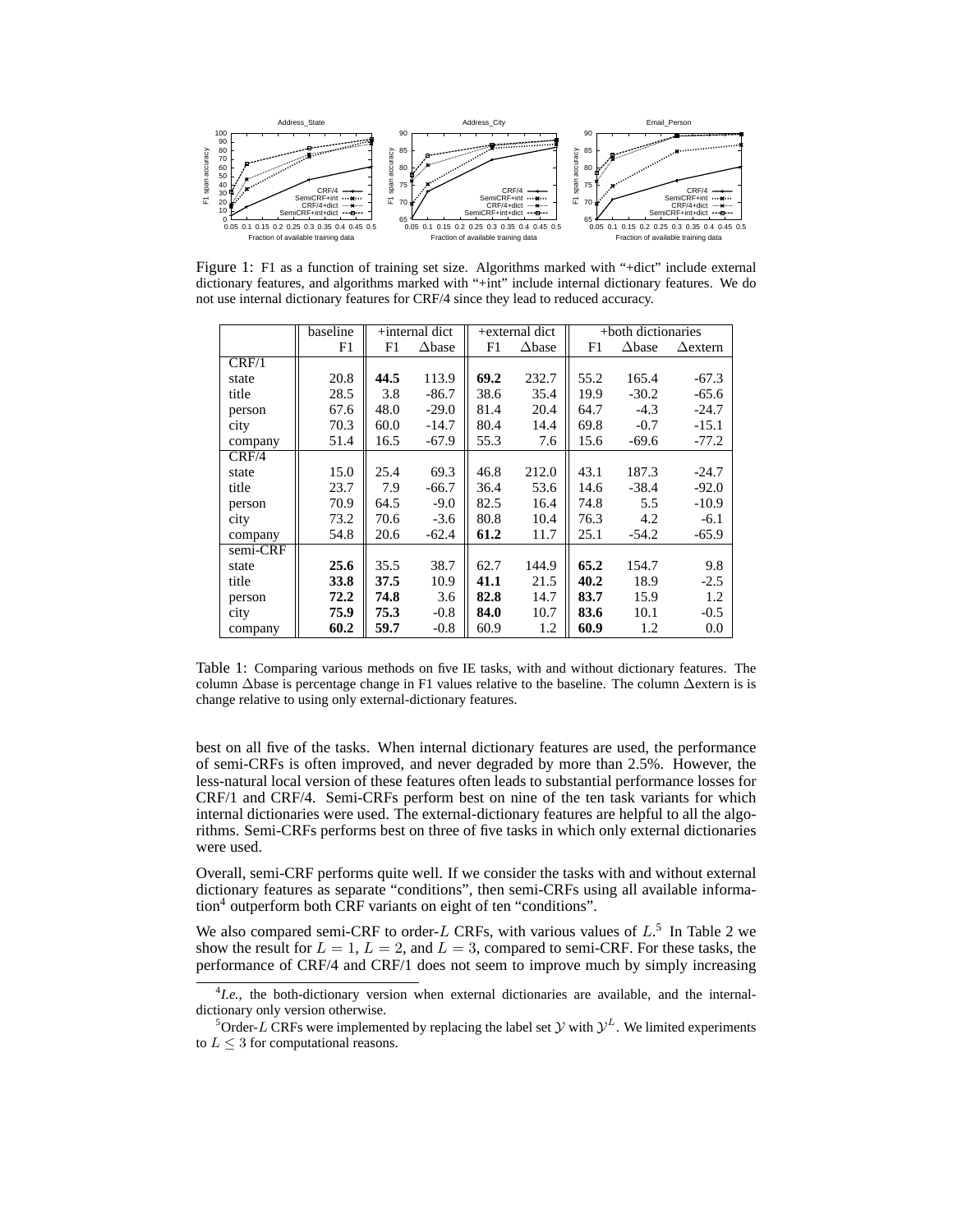

Figure 1: F1 as a function of training set size. Algorithms marked with "+dict" include external dictionary features, and algorithms marked with "+int" include internal dictionary features. We do not use internal dictionary features for CRF/4 since they lead to reduced accuracy.

|          | baseline | $+$ internal dict |                  | +external dict |               | +both dictionaries |               |                 |
|----------|----------|-------------------|------------------|----------------|---------------|--------------------|---------------|-----------------|
|          | F1       | F1                | $\triangle$ base | F1             | $\Delta$ base | F1                 | $\Delta$ base | $\Delta$ extern |
| CRF/1    |          |                   |                  |                |               |                    |               |                 |
| state    | 20.8     | 44.5              | 113.9            | 69.2           | 232.7         | 55.2               | 165.4         | $-67.3$         |
| title    | 28.5     | 3.8               | $-86.7$          | 38.6           | 35.4          | 19.9               | $-30.2$       | $-65.6$         |
| person   | 67.6     | 48.0              | $-29.0$          | 81.4           | 20.4          | 64.7               | $-4.3$        | $-24.7$         |
| city     | 70.3     | 60.0              | $-14.7$          | 80.4           | 14.4          | 69.8               | $-0.7$        | $-15.1$         |
| company  | 51.4     | 16.5              | $-67.9$          | 55.3           | 7.6           | 15.6               | $-69.6$       | $-77.2$         |
| CRF/4    |          |                   |                  |                |               |                    |               |                 |
| state    | 15.0     | 25.4              | 69.3             | 46.8           | 212.0         | 43.1               | 187.3         | $-24.7$         |
| title    | 23.7     | 7.9               | $-66.7$          | 36.4           | 53.6          | 14.6               | $-38.4$       | $-92.0$         |
| person   | 70.9     | 64.5              | $-9.0$           | 82.5           | 16.4          | 74.8               | 5.5           | $-10.9$         |
| city     | 73.2     | 70.6              | $-3.6$           | 80.8           | 10.4          | 76.3               | 4.2           | $-6.1$          |
| company  | 54.8     | 20.6              | $-62.4$          | 61.2           | 11.7          | 25.1               | $-54.2$       | $-65.9$         |
| semi-CRF |          |                   |                  |                |               |                    |               |                 |
| state    | 25.6     | 35.5              | 38.7             | 62.7           | 144.9         | 65.2               | 154.7         | 9.8             |
| title    | 33.8     | 37.5              | 10.9             | 41.1           | 21.5          | 40.2               | 18.9          | $-2.5$          |
| person   | 72.2     | 74.8              | 3.6              | 82.8           | 14.7          | 83.7               | 15.9          | 1.2             |
| city     | 75.9     | 75.3              | $-0.8$           | 84.0           | 10.7          | 83.6               | 10.1          | $-0.5$          |
| company  | 60.2     | 59.7              | $-0.8$           | 60.9           | 1.2           | 60.9               | 1.2           | 0.0             |

Table 1: Comparing various methods on five IE tasks, with and without dictionary features. The column ∆base is percentage change in F1 values relative to the baseline. The column ∆extern is is change relative to using only external-dictionary features.

best on all five of the tasks. When internal dictionary features are used, the performance of semi-CRFs is often improved, and never degraded by more than 2.5%. However, the less-natural local version of these features often leads to substantial performance losses for CRF/1 and CRF/4. Semi-CRFs perform best on nine of the ten task variants for which internal dictionaries were used. The external-dictionary features are helpful to all the algorithms. Semi-CRFs performs best on three of five tasks in which only external dictionaries were used.

Overall, semi-CRF performs quite well. If we consider the tasks with and without external dictionary features as separate "conditions", then semi-CRFs using all available information<sup>4</sup> outperform both CRF variants on eight of ten "conditions".

We also compared semi-CRF to order- $L$  CRFs, with various values of  $L<sup>5</sup>$  In Table 2 we show the result for  $L = 1$ ,  $L = 2$ , and  $L = 3$ , compared to semi-CRF. For these tasks, the performance of CRF/4 and CRF/1 does not seem to improve much by simply increasing

<sup>&</sup>lt;sup>4</sup>I.e., the both-dictionary version when external dictionaries are available, and the internaldictionary only version otherwise.

<sup>&</sup>lt;sup>5</sup>Order-L CRFs were implemented by replacing the label set  $Y$  with  $Y^L$ . We limited experiments to  $L \leq 3$  for computational reasons.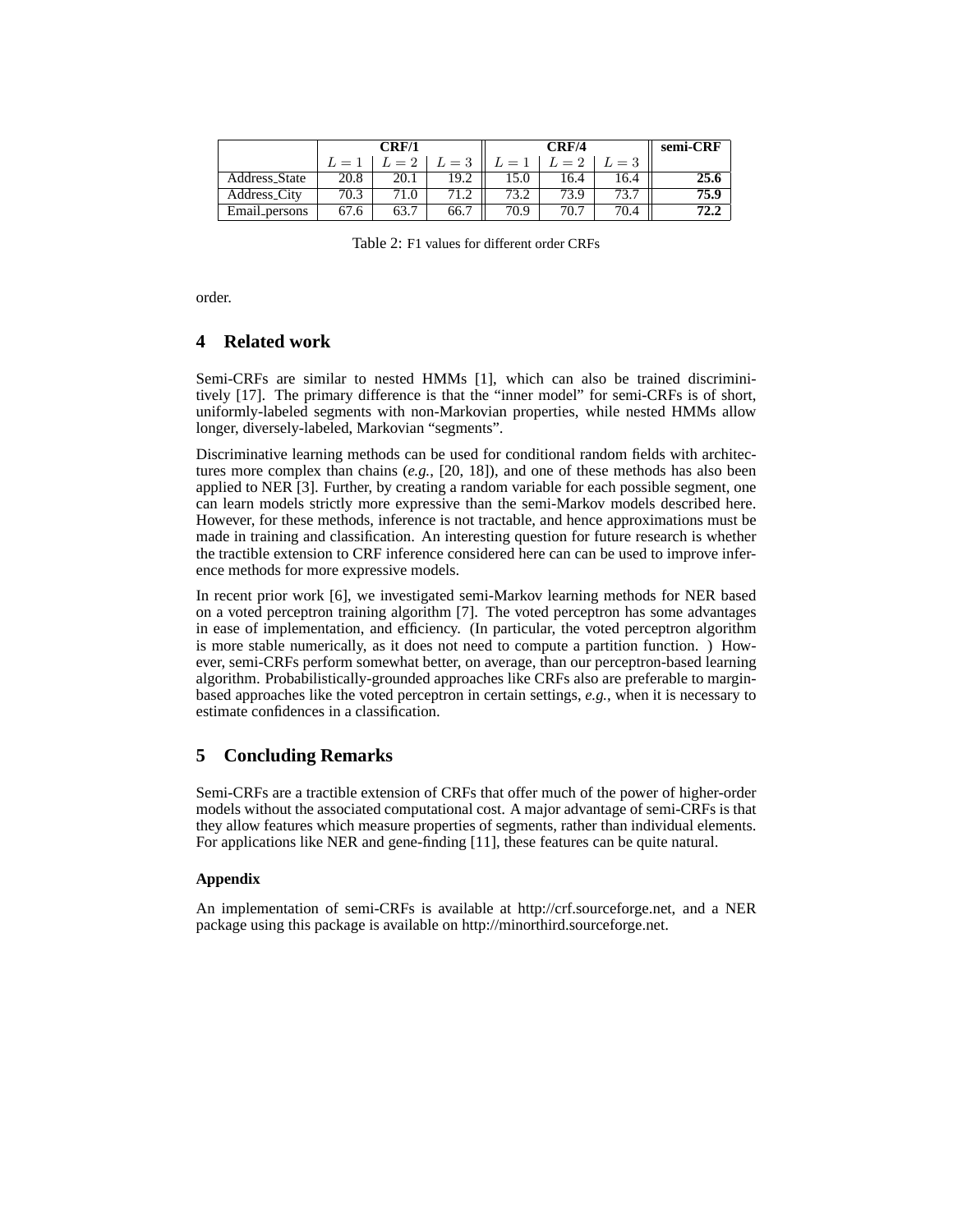|                     |              | CRF/1          |       |      | semi-CRF |       |      |
|---------------------|--------------|----------------|-------|------|----------|-------|------|
|                     | $L = \Delta$ | $u = 2$        | $=$ 3 |      | $L=2$    | $=$ 3 |      |
| Address_State       | 20.8         | 20.1           | 19.2  | .5.0 | 16.4     | 16.4  |      |
| <b>Address City</b> | 70.3         | $^{\prime}1.0$ |       | 73.2 | 73.9     |       | 75.9 |
| Email persons       | 67.6         |                | 66.7  | 70.9 | 70.7     | 70.4  |      |

Table 2: F1 values for different order CRFs

order.

# **4 Related work**

Semi-CRFs are similar to nested HMMs [1], which can also be trained discriminitively [17]. The primary difference is that the "inner model" for semi-CRFs is of short, uniformly-labeled segments with non-Markovian properties, while nested HMMs allow longer, diversely-labeled, Markovian "segments".

Discriminative learning methods can be used for conditional random fields with architectures more complex than chains (*e.g.*, [20, 18]), and one of these methods has also been applied to NER [3]. Further, by creating a random variable for each possible segment, one can learn models strictly more expressive than the semi-Markov models described here. However, for these methods, inference is not tractable, and hence approximations must be made in training and classification. An interesting question for future research is whether the tractible extension to CRF inference considered here can can be used to improve inference methods for more expressive models.

In recent prior work [6], we investigated semi-Markov learning methods for NER based on a voted perceptron training algorithm [7]. The voted perceptron has some advantages in ease of implementation, and efficiency. (In particular, the voted perceptron algorithm is more stable numerically, as it does not need to compute a partition function. ) However, semi-CRFs perform somewhat better, on average, than our perceptron-based learning algorithm. Probabilistically-grounded approaches like CRFs also are preferable to marginbased approaches like the voted perceptron in certain settings, *e.g.*, when it is necessary to estimate confidences in a classification.

# **5 Concluding Remarks**

Semi-CRFs are a tractible extension of CRFs that offer much of the power of higher-order models without the associated computational cost. A major advantage of semi-CRFs is that they allow features which measure properties of segments, rather than individual elements. For applications like NER and gene-finding [11], these features can be quite natural.

### **Appendix**

An implementation of semi-CRFs is available at http://crf.sourceforge.net, and a NER package using this package is available on http://minorthird.sourceforge.net.